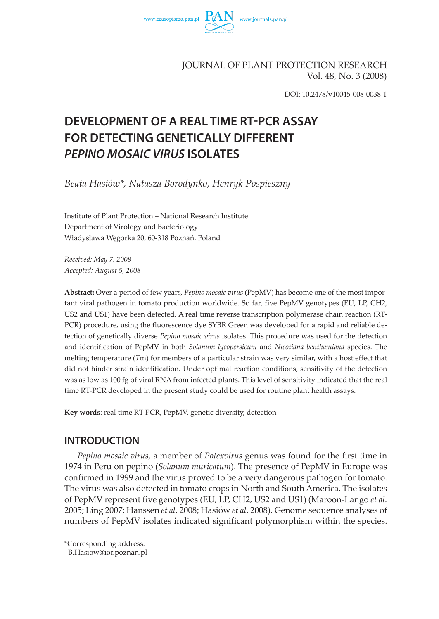

### JOURNAL OF PLANT PROTECTION RESEARCH Vol. 48, No. 3 (2008)

DOI: 10.2478/v10045-008-0038-1

# **DEVELOPMENT OF A REAL TIME RT-PCR ASSAY FOR DETECTING GENETICALLY DIFFERENT PEPINO MOSAIC VIRUS ISOLATES**

*Beata Hasiów\*, Natasza Borodynko, Henryk Pospieszny*

Institute of Plant Protection – National Research Institute Department of Virology and Bacteriology Władysława Węgorka 20, 60-318 Poznań, Poland

*Received: May 7, 2008 Accepted: August 5, 2008*

**Abstract:** Over a period of few years, *Pepino mosaic virus* (PepMV) has become one of the most important viral pathogen in tomato production worldwide. So far, five PepMV genotypes (EU, LP, CH2, US2 and US1) have been detected. A real time reverse transcription polymerase chain reaction (RT-PCR) procedure, using the fluorescence dye SYBR Green was developed for a rapid and reliable detection of genetically diverse *Pepino mosaic virus* isolates. This procedure was used for the detection and identification of PepMV in both *Solanum lycopersicum* and *Nicotiana benthamiana* species. The melting temperature (*T*m) for members of a particular strain was very similar, with a host effect that did not hinder strain identification. Under optimal reaction conditions, sensitivity of the detection was as low as 100 fg of viral RNA from infected plants. This level of sensitivity indicated that the real time RT-PCR developed in the present study could be used for routine plant health assays.

**Key words**: real time RT-PCR, PepMV, genetic diversity, detection

### **INTRODUCTION**

*Pepino mosaic virus*, a member of *Potexvirus* genus was found for the first time in 1974 in Peru on pepino (*Solanum muricatum*). The presence of PepMV in Europe was confirmed in 1999 and the virus proved to be a very dangerous pathogen for tomato. The virus was also detected in tomato crops in North and South America. The isolates of PepMV represent five genotypes (EU, LP, CH2, US2 and US1) (Maroon-Lango *et al.* 2005; Ling 2007; Hanssen *et al.* 2008; Hasiów *et al*. 2008). Genome sequence analyses of numbers of PepMV isolates indicated significant polymorphism within the species.

<sup>\*</sup>Corresponding address:

B.Hasiow@ior.poznan.pl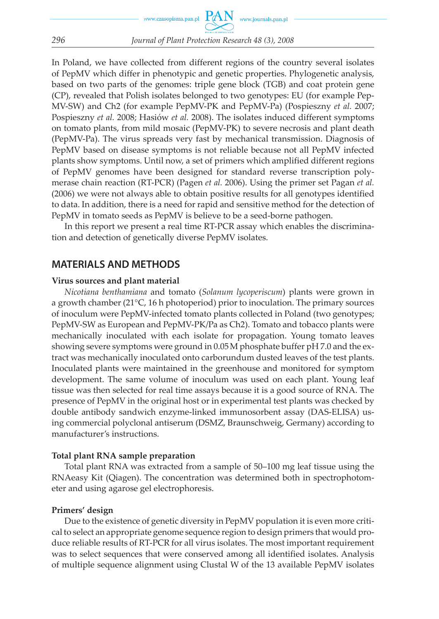In Poland, we have collected from different regions of the country several isolates of PepMV which differ in phenotypic and genetic properties. Phylogenetic analysis, based on two parts of the genomes: triple gene block (TGB) and coat protein gene (CP), revealed that Polish isolates belonged to two genotypes: EU (for example Pep-MV-SW) and Ch2 (for example PepMV-PK and PepMV-Pa) (Pospieszny *et al.* 2007; Pospieszny *et al.* 2008; Hasiów *et al.* 2008). The isolates induced different symptoms on tomato plants, from mild mosaic (PepMV-PK) to severe necrosis and plant death (PepMV-Pa). The virus spreads very fast by mechanical transmission. Diagnosis of PepMV based on disease symptoms is not reliable because not all PepMV infected plants show symptoms. Until now, a set of primers which amplified different regions of PepMV genomes have been designed for standard reverse transcription polymerase chain reaction (RT-PCR) (Pagen *et al.* 2006). Using the primer set Pagan *et al.* (2006) we were not always able to obtain positive results for all genotypes identified to data. In addition, there is a need for rapid and sensitive method for the detection of PepMV in tomato seeds as PepMV is believe to be a seed-borne pathogen.

In this report we present a real time RT-PCR assay which enables the discrimination and detection of genetically diverse PepMV isolates.

### **MATERIALS AND METHODS**

#### **Virus sources and plant material**

*Nicotiana benthamiana* and tomato (*Solanum lycoperiscum*) plants were grown in a growth chamber (21°C, 16 h photoperiod) prior to inoculation. The primary sources of inoculum were PepMV-infected tomato plants collected in Poland (two genotypes; PepMV-SW as European and PepMV-PK/Pa as Ch2). Tomato and tobacco plants were mechanically inoculated with each isolate for propagation. Young tomato leaves showing severe symptoms were ground in 0.05 M phosphate buffer pH 7.0 and the extract was mechanically inoculated onto carborundum dusted leaves of the test plants. Inoculated plants were maintained in the greenhouse and monitored for symptom development. The same volume of inoculum was used on each plant. Young leaf tissue was then selected for real time assays because it is a good source of RNA. The presence of PepMV in the original host or in experimental test plants was checked by double antibody sandwich enzyme-linked immunosorbent assay (DAS-ELISA) using commercial polyclonal antiserum (DSMZ, Braunschweig, Germany) according to manufacturer's instructions.

#### **Total plant RNA sample preparation**

Total plant RNA was extracted from a sample of 50–100 mg leaf tissue using the RNAeasy Kit (Qiagen). The concentration was determined both in spectrophotometer and using agarose gel electrophoresis.

#### **Primers' design**

Due to the existence of genetic diversity in PepMV population it is even more critical to select an appropriate genome sequence region to design primers that would produce reliable results of RT-PCR for all virus isolates. The most important requirement was to select sequences that were conserved among all identified isolates. Analysis of multiple sequence alignment using Clustal W of the 13 available PepMV isolates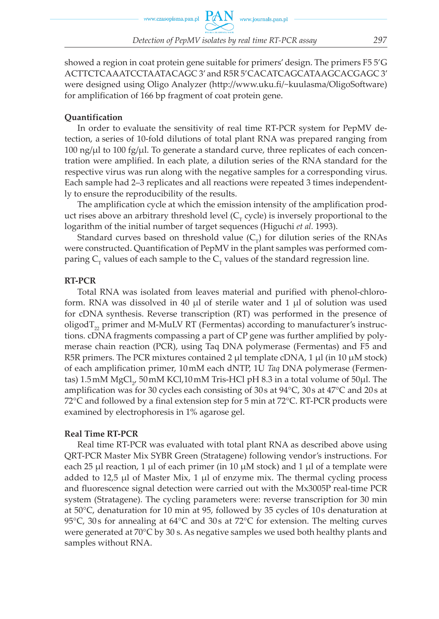showed a region in coat protein gene suitable for primers' design. The primers F5 5'G ACTTCTCAAATCCTAATACAGC 3' and R5R 5'CACATCAGCATAAGCACGAGC 3' were designed using Oligo Analyzer (http://www.uku.fi/~kuulasma/OligoSoftware) for amplification of 166 bp fragment of coat protein gene.

#### **Quantification**

In order to evaluate the sensitivity of real time RT-PCR system for PepMV detection, a series of 10-fold dilutions of total plant RNA was prepared ranging from  $100 \text{ ng/µl}$  to  $100 \text{ fg/µl}$ . To generate a standard curve, three replicates of each concentration were amplified. In each plate, a dilution series of the RNA standard for the respective virus was run along with the negative samples for a corresponding virus. Each sample had 2–3 replicates and all reactions were repeated 3 times independently to ensure the reproducibility of the results.

The amplification cycle at which the emission intensity of the amplification product rises above an arbitrary threshold level  $(C<sub>r</sub>$  cycle) is inversely proportional to the logarithm of the initial number of target sequences (Higuchi *et al.* 1993).

Standard curves based on threshold value  $(C<sub>r</sub>)$  for dilution series of the RNAs were constructed. Quantification of PepMV in the plant samples was performed comparing  $C_r$  values of each sample to the  $C_r$  values of the standard regression line.

#### **RT-PCR**

Total RNA was isolated from leaves material and purified with phenol-chloroform. RNA was dissolved in 40  $\mu$ l of sterile water and 1  $\mu$ l of solution was used for cDNA synthesis. Reverse transcription (RT) was performed in the presence of oligod $T_{22}$  primer and M-MuLV RT (Fermentas) according to manufacturer's instructions. cDNA fragments compassing a part of CP gene was further amplified by polymerase chain reaction (PCR), using Taq DNA polymerase (Fermentas) and F5 and R5R primers. The PCR mixtures contained 2  $\mu$ l template cDNA, 1  $\mu$ l (in 10  $\mu$ M stock) of each amplification primer, 10 mM each dNTP, 1U *Taq* DNA polymerase (Fermentas) 1.5 mM  $\mathrm{MgCl}_{2'}$  50 mM KCl,10 mM Tris-HCl pH 8.3 in a total volume of 50 $\mu$ l. The amplification was for 30 cycles each consisting of 30 s at 94°C, 30 s at 47°C and 20 s at 72°C and followed by a final extension step for 5 min at 72°C. RT-PCR products were examined by electrophoresis in 1% agarose gel.

#### **Real Time RT-PCR**

Real time RT-PCR was evaluated with total plant RNA as described above using QRT-PCR Master Mix SYBR Green (Stratagene) following vendor's instructions. For each 25  $\mu$ l reaction, 1  $\mu$ l of each primer (in 10  $\mu$ M stock) and 1  $\mu$ l of a template were added to 12,5  $\mu$ l of Master Mix, 1  $\mu$ l of enzyme mix. The thermal cycling process and fluorescence signal detection were carried out with the Mx3005P real-time PCR system (Stratagene). The cycling parameters were: reverse transcription for 30 min at 50°C, denaturation for 10 min at 95, followed by 35 cycles of 10 s denaturation at 95°C, 30 s for annealing at 64°C and 30 s at 72°C for extension. The melting curves were generated at 70°C by 30 s. As negative samples we used both healthy plants and samples without RNA.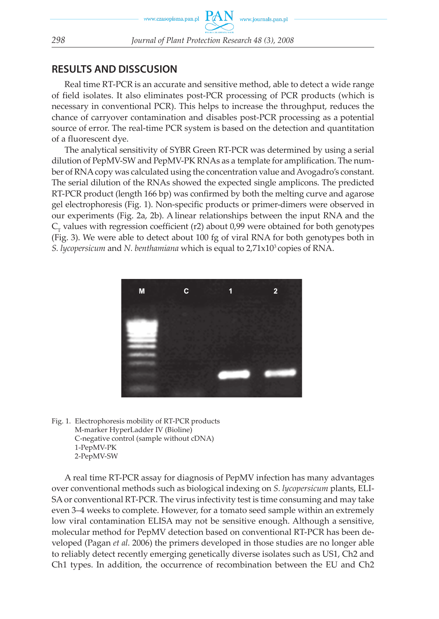### **RESULTS AND DISSCUSION**

Real time RT-PCR is an accurate and sensitive method, able to detect a wide range of field isolates. It also eliminates post-PCR processing of PCR products (which is necessary in conventional PCR). This helps to increase the throughput, reduces the chance of carryover contamination and disables post-PCR processing as a potential source of error. The real-time PCR system is based on the detection and quantitation of a fluorescent dye.

The analytical sensitivity of SYBR Green RT-PCR was determined by using a serial dilution of PepMV-SW and PepMV-PK RNAs as a template for amplification. The number of RNA copy was calculated using the concentration value and Avogadro's constant. The serial dilution of the RNAs showed the expected single amplicons. The predicted RT-PCR product (length 166 bp) was confirmed by both the melting curve and agarose gel electrophoresis (Fig. 1). Non-specific products or primer-dimers were observed in our experiments (Fig. 2a, 2b). A linear relationships between the input RNA and the  $C<sub>r</sub>$  values with regression coefficient (r2) about 0,99 were obtained for both genotypes (Fig. 3). We were able to detect about 100 fg of viral RNA for both genotypes both in *S. lycopersicum* and *N. benthamiana* which is equal to 2,71x103 copies of RNA.



Fig. 1. Electrophoresis mobility of RT-PCR products M-marker HyperLadder IV (Bioline) C-negative control (sample without cDNA) 1-PepMV-PK 2-PepMV-SW

A real time RT-PCR assay for diagnosis of PepMV infection has many advantages over conventional methods such as biological indexing on *S. lycopersicum* plants, ELI-SA or conventional RT-PCR. The virus infectivity test is time consuming and may take even 3–4 weeks to complete. However, for a tomato seed sample within an extremely low viral contamination ELISA may not be sensitive enough. Although a sensitive, molecular method for PepMV detection based on conventional RT-PCR has been developed (Pagan *et al.* 2006) the primers developed in those studies are no longer able to reliably detect recently emerging genetically diverse isolates such as US1, Ch2 and Ch1 types. In addition, the occurrence of recombination between the EU and Ch2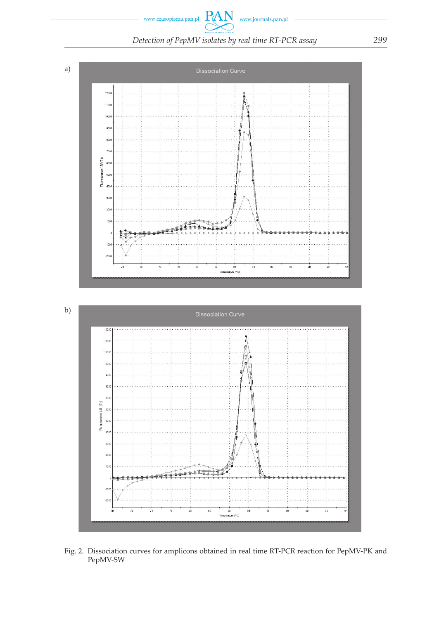PAN www.czasopisma.pan.pl www.journals.pan.pl *Detection of PepMV isolates by real time RT-PCR assay 299*



Fig. 2. Dissociation curves for amplicons obtained in real time RT-PCR reaction for PepMV-PK and PepMV-SW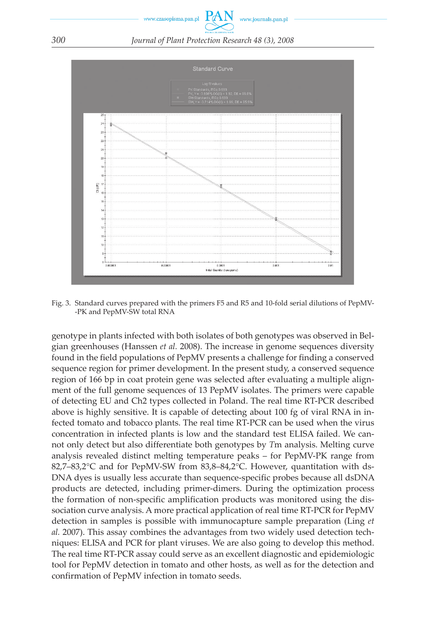



Fig. 3. Standard curves prepared with the primers F5 and R5 and 10-fold serial dilutions of PepMV- -PK and PepMV-SW total RNA

genotype in plants infected with both isolates of both genotypes was observed in Belgian greenhouses (Hanssen *et al.* 2008). The increase in genome sequences diversity found in the field populations of PepMV presents a challenge for finding a conserved sequence region for primer development. In the present study, a conserved sequence region of 166 bp in coat protein gene was selected after evaluating a multiple alignment of the full genome sequences of 13 PepMV isolates. The primers were capable of detecting EU and Ch2 types collected in Poland. The real time RT-PCR described above is highly sensitive. It is capable of detecting about 100 fg of viral RNA in infected tomato and tobacco plants. The real time RT-PCR can be used when the virus concentration in infected plants is low and the standard test ELISA failed. We cannot only detect but also differentiate both genotypes by *T*m analysis. Melting curve analysis revealed distinct melting temperature peaks – for PepMV-PK range from 82,7–83,2°C and for PepMV-SW from 83,8–84,2°C. However, quantitation with ds-DNA dyes is usually less accurate than sequence-specific probes because all dsDNA products are detected, including primer-dimers. During the optimization process the formation of non-specific amplification products was monitored using the dissociation curve analysis. A more practical application of real time RT-PCR for PepMV detection in samples is possible with immunocapture sample preparation (Ling *et al.* 2007). This assay combines the advantages from two widely used detection techniques: ELISA and PCR for plant viruses. We are also going to develop this method. The real time RT-PCR assay could serve as an excellent diagnostic and epidemiologic tool for PepMV detection in tomato and other hosts, as well as for the detection and confirmation of PepMV infection in tomato seeds.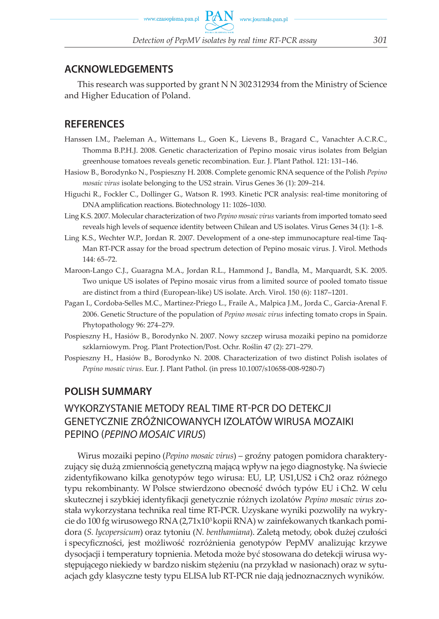### **ACKNOWLEDGEMENTS**

This research was supported by grant N N 302 312934 from the Ministry of Science and Higher Education of Poland.

### **REFERENCES**

- Hanssen I.M., Paeleman A., Wittemans L., Goen K., Lievens B., Bragard C., Vanachter A.C.R.C., Thomma B.P.H.J. 2008. Genetic characterization of Pepino mosaic virus isolates from Belgian greenhouse tomatoes reveals genetic recombination. Eur. J. Plant Pathol. 121: 131–146.
- Hasiow B., Borodynko N., Pospieszny H. 2008. Complete genomic RNA sequence of the Polish *Pepino mosaic virus* isolate belonging to the US2 strain. Virus Genes 36 (1): 209–214.
- Higuchi R., Fockler C., Dollinger G., Watson R. 1993. Kinetic PCR analysis: real-time monitoring of DNA amplification reactions. Biotechnology 11: 1026–1030.
- Ling K.S. 2007. Molecular characterization of two *Pepino mosaic virus* variants from imported tomato seed reveals high levels of sequence identity between Chilean and US isolates. Virus Genes 34 (1): 1–8.
- Ling K.S., Wechter W.P., Jordan R. 2007. Development of a one-step immunocapture real-time Taq-Man RT-PCR assay for the broad spectrum detection of Pepino mosaic virus. J. Virol. Methods 144: 65–72.
- Maroon-Lango C.J., Guaragna M.A., Jordan R.L., Hammond J., Bandla, M., Marquardt, S.K. 2005. Two unique US isolates of Pepino mosaic virus from a limited source of pooled tomato tissue are distinct from a third (European-like) US isolate. Arch. Virol. 150 (6): 1187–1201.
- Pagan I., Cordoba-Selles M.C., Martinez-Priego L., Fraile A., Malpica J.M., Jorda C., Garcia-Arenal F. 2006. Genetic Structure of the population of *Pepino mosaic virus* infecting tomato crops in Spain. Phytopathology 96: 274–279.
- Pospieszny H., Hasiów B., Borodynko N. 2007. Nowy szczep wirusa mozaiki pepino na pomidorze szklarniowym. Prog. Plant Protection/Post. Ochr. Roślin 47 (2): 271–279.
- Pospieszny H., Hasiów B., Borodynko N. 2008. Characterization of two distinct Polish isolates of *Pepino mosaic virus*. Eur. J. Plant Pathol. (in press 10.1007/s10658-008-9280-7)

## **POLISH SUMMARY**

# WYKORZYSTANIE METODY REAL TIME RT-PCR DO DETEKCJI GENETYCZNIE ZRÓŻNICOWANYCH IZOLATÓW WIRUSA MOZAIKI PEPINO (PEPINO MOSAIC VIRUS)

Wirus mozaiki pepino (*Pepino mosaic virus*) – groźny patogen pomidora charakteryzujący się dużą zmiennością genetyczną mającą wpływ na jego diagnostykę. Na świecie zidentyfikowano kilka genotypów tego wirusa: EU, LP, US1,US2 i Ch2 oraz różnego typu rekombinanty. W Polsce stwierdzono obecność dwóch typów EU i Ch2. W celu skutecznej i szybkiej identyfikacji genetycznie różnych izolatów *Pepino mosaic virus* została wykorzystana technika real time RT-PCR. Uzyskane wyniki pozwoliły na wykrycie do 100 fg wirusowego RNA (2,71x103 kopii RNA) w zainfekowanych tkankach pomidora (*S. lycopersicum*) oraz tytoniu (*N. benthamiana*). Zaletą metody, obok dużej czułości i specyficzności, jest możliwość rozróżnienia genotypów PepMV analizując krzywe dysocjacji i temperatury topnienia. Metoda może być stosowana do detekcji wirusa występującego niekiedy w bardzo niskim stężeniu (na przykład w nasionach) oraz w sytuacjach gdy klasyczne testy typu ELISA lub RT-PCR nie dają jednoznacznych wyników.